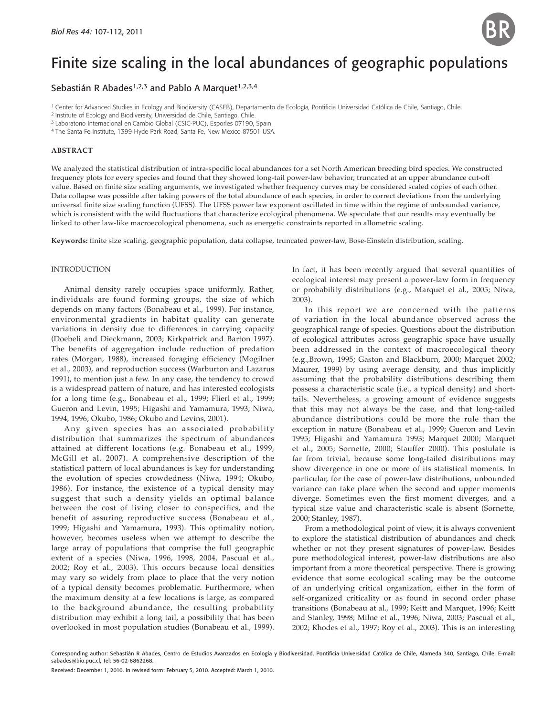

# Finite size scaling in the local abundances of geographic populations

## Sebastián R Abades<sup>1,2,3</sup> and Pablo A Marquet<sup>1,2,3,4</sup>

<sup>1</sup> Center for Advanced Studies in Ecology and Biodiversity (CASEB), Departamento de Ecología, Pontificia Universidad Católica de Chile, Santiago, Chile.

2 Institute of Ecology and Biodiversity, Universidad de Chile, Santiago, Chile.

<sup>3</sup> Laboratorio Internacional en Cambio Global (CSIC-PUC), Esporles 07190, Spain 4 The Santa Fe Institute, 1399 Hyde Park Road, Santa Fe, New Mexico 87501 USA.

### **ABSTRACT**

We analyzed the statistical distribution of intra-specific local abundances for a set North American breeding bird species. We constructed frequency plots for every species and found that they showed long-tail power-law behavior, truncated at an upper abundance cut-off value. Based on finite size scaling arguments, we investigated whether frequency curves may be considered scaled copies of each other. Data collapse was possible after taking powers of the total abundance of each species, in order to correct deviations from the underlying universal finite size scaling function (UFSS). The UFSS power law exponent oscillated in time within the regime of unbounded variance, which is consistent with the wild fluctuations that characterize ecological phenomena. We speculate that our results may eventually be linked to other law-like macroecological phenomena, such as energetic constraints reported in allometric scaling.

Keywords: finite size scaling, geographic population, data collapse, truncated power-law, Bose-Einstein distribution, scaling.

#### INTRODUCTION

Animal density rarely occupies space uniformly. Rather, individuals are found forming groups, the size of which depends on many factors (Bonabeau et al., 1999). For instance, environmental gradients in habitat quality can generate variations in density due to differences in carrying capacity (Doebeli and Dieckmann, 2003; Kirkpatrick and Barton 1997). The benefits of aggregation include reduction of predation rates (Morgan, 1988), increased foraging efficiency (Mogilner et al., 2003), and reproduction success (Warburton and Lazarus 1991), to mention just a few. In any case, the tendency to crowd is a widespread pattern of nature, and has interested ecologists for a long time (e.g., Bonabeau et al., 1999; Flierl et al., 1999; Gueron and Levin, 1995; Higashi and Yamamura, 1993; Niwa, 1994, 1996; Okubo, 1986; Okubo and Levins, 2001).

Any given species has an associated probability distribution that summarizes the spectrum of abundances attained at different locations (e.g. Bonabeau et al., 1999, McGill et al. 2007). A comprehensive description of the statistical pattern of local abundances is key for understanding the evolution of species crowdedness (Niwa, 1994; Okubo, 1986). For instance, the existence of a typical density may suggest that such a density yields an optimal balance between the cost of living closer to conspecifics, and the benefit of assuring reproductive success (Bonabeau et al., 1999; Higashi and Yamamura, 1993). This optimality notion, however, becomes useless when we attempt to describe the large array of populations that comprise the full geographic extent of a species (Niwa, 1996, 1998, 2004, Pascual et al., 2002; Roy et al., 2003). This occurs because local densities may vary so widely from place to place that the very notion of a typical density becomes problematic. Furthermore, when the maximum density at a few locations is large, as compared to the background abundance, the resulting probability distribution may exhibit a long tail, a possibility that has been overlooked in most population studies (Bonabeau et al., 1999). In fact, it has been recently argued that several quantities of ecological interest may present a power-law form in frequency or probability distributions (e.g., Marquet et al., 2005; Niwa, 2003).

In this report we are concerned with the patterns of variation in the local abundance observed across the geographical range of species. Questions about the distribution of ecological attributes across geographic space have usually been addressed in the context of macroecological theory (e.g.,Brown, 1995; Gaston and Blackburn, 2000; Marquet 2002; Maurer, 1999) by using average density, and thus implicitly assuming that the probability distributions describing them possess a characteristic scale (i.e., a typical density) and shorttails. Nevertheless, a growing amount of evidence suggests that this may not always be the case, and that long-tailed abundance distributions could be more the rule than the exception in nature (Bonabeau et al., 1999; Gueron and Levin 1995; Higashi and Yamamura 1993; Marquet 2000; Marquet et al., 2005; Sornette, 2000; Stauffer 2000). This postulate is far from trivial, because some long-tailed distributions may show divergence in one or more of its statistical moments. In particular, for the case of power-law distributions, unbounded variance can take place when the second and upper moments diverge. Sometimes even the first moment diverges, and a typical size value and characteristic scale is absent (Sornette, 2000; Stanley, 1987).

From a methodological point of view, it is always convenient to explore the statistical distribution of abundances and check whether or not they present signatures of power-law. Besides pure methodological interest, power-law distributions are also important from a more theoretical perspective. There is growing evidence that some ecological scaling may be the outcome of an underlying critical organization, either in the form of self-organized criticality or as found in second order phase transitions (Bonabeau at al., 1999; Keitt and Marquet, 1996; Keitt and Stanley, 1998; Milne et al., 1996; Niwa, 2003; Pascual et al., 2002; Rhodes et al., 1997; Roy et al., 2003). This is an interesting

Corresponding author: Sebastián R Abades, Centro de Estudios Avanzados en Ecología y Biodiversidad, Pontificia Universidad Católica de Chile, Alameda 340, Santiago, Chile. E-mail: sabades@bio.puc.cl, Tel: 56-02-6862268.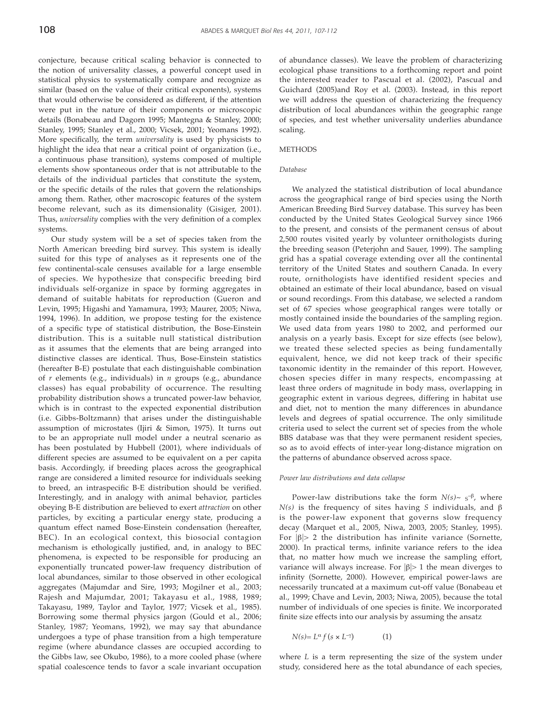conjecture, because critical scaling behavior is connected to the notion of universality classes, a powerful concept used in statistical physics to systematically compare and recognize as similar (based on the value of their critical exponents), systems that would otherwise be considered as different, if the attention were put in the nature of their components or microscopic details (Bonabeau and Dagorn 1995; Mantegna & Stanley, 2000; Stanley, 1995; Stanley et al., 2000; Vicsek, 2001; Yeomans 1992). More specifically, the term *universality* is used by physicists to highlight the idea that near a critical point of organization (i.e., a continuous phase transition), systems composed of multiple elements show spontaneous order that is not attributable to the details of the individual particles that constitute the system, or the specific details of the rules that govern the relationships among them. Rather, other macroscopic features of the system become relevant, such as its dimensionality (Gisiger, 2001). Thus, *universality* complies with the very definition of a complex systems.

Our study system will be a set of species taken from the North American breeding bird survey. This system is ideally suited for this type of analyses as it represents one of the few continental-scale censuses available for a large ensemble of species. We hypothesize that conspecific breeding bird individuals self-organize in space by forming aggregates in demand of suitable habitats for reproduction (Gueron and Levin, 1995; Higashi and Yamamura, 1993; Maurer, 2005; Niwa, 1994, 1996). In addition, we propose testing for the existence of a specific type of statistical distribution, the Bose-Einstein distribution. This is a suitable null statistical distribution as it assumes that the elements that are being arranged into distinctive classes are identical. Thus, Bose-Einstein statistics (hereafter B-E) postulate that each distinguishable combination of *r* elements (e.g., individuals) in *n* groups (e.g., abundance classes) has equal probability of occurrence. The resulting probability distribution shows a truncated power-law behavior, which is in contrast to the expected exponential distribution (i.e. Gibbs-Boltzmann) that arises under the distinguishable assumption of microstates (Ijiri & Simon, 1975). It turns out to be an appropriate null model under a neutral scenario as has been postulated by Hubbell (2001), where individuals of different species are assumed to be equivalent on a per capita basis. Accordingly, if breeding places across the geographical range are considered a limited resource for individuals seeking to breed, an intraspecific B-E distribution should be verified. Interestingly, and in analogy with animal behavior, particles obeying B-E distribution are believed to exert *attraction* on other particles, by exciting a particular energy state, producing a quantum effect named Bose-Einstein condensation (hereafter, BEC). In an ecological context, this biosocial contagion mechanism is ethologically justified, and, in analogy to BEC phenomena, is expected to be responsible for producing an exponentially truncated power-law frequency distribution of local abundances, similar to those observed in other ecological aggregates (Majumdar and Sire, 1993; Mogilner et al., 2003; Rajesh and Majumdar, 2001; Takayasu et al., 1988, 1989; Takayasu, 1989, Taylor and Taylor, 1977; Vicsek et al., 1985). Borrowing some thermal physics jargon (Gould et al., 2006; Stanley, 1987; Yeomans, 1992), we may say that abundance undergoes a type of phase transition from a high temperature regime (where abundance classes are occupied according to the Gibbs law, see Okubo, 1986), to a more cooled phase (where spatial coalescence tends to favor a scale invariant occupation

of abundance classes). We leave the problem of characterizing ecological phase transitions to a forthcoming report and point the interested reader to Pascual et al. (2002), Pascual and Guichard (2005)and Roy et al. (2003). Instead, in this report we will address the question of characterizing the frequency distribution of local abundances within the geographic range of species, and test whether universality underlies abundance scaling.

## **METHODS**

#### *Database*

We analyzed the statistical distribution of local abundance across the geographical range of bird species using the North American Breeding Bird Survey database. This survey has been conducted by the United States Geological Survey since 1966 to the present, and consists of the permanent census of about 2,500 routes visited yearly by volunteer ornithologists during the breeding season (Peterjohn and Sauer, 1999). The sampling grid has a spatial coverage extending over all the continental territory of the United States and southern Canada. In every route, ornithologists have identified resident species and obtained an estimate of their local abundance, based on visual or sound recordings. From this database, we selected a random set of 67 species whose geographical ranges were totally or mostly contained inside the boundaries of the sampling region. We used data from years 1980 to 2002, and performed our analysis on a yearly basis. Except for size effects (see below), we treated these selected species as being fundamentally equivalent, hence, we did not keep track of their specific taxonomic identity in the remainder of this report. However, chosen species differ in many respects, encompassing at least three orders of magnitude in body mass, overlapping in geographic extent in various degrees, differing in habitat use and diet, not to mention the many differences in abundance levels and degrees of spatial occurrence. The only similitude criteria used to select the current set of species from the whole BBS database was that they were permanent resident species, so as to avoid effects of inter-year long-distance migration on the patterns of abundance observed across space.

#### *Power law distributions and data collapse*

Power-law distributions take the form *N(s)*~ s<sup>-β</sup>, where *N(s)* is the frequency of sites having *S* individuals, and β is the power-law exponent that governs slow frequency decay (Marquet et al., 2005, Niwa, 2003, 2005; Stanley, 1995). For  $|\beta|$  2 the distribution has infinite variance (Sornette, 2000). In practical terms, infinite variance refers to the idea that, no matter how much we increase the sampling effort, variance will always increase. For  $|\beta|$  1 the mean diverges to infinity (Sornette, 2000). However, empirical power-laws are necessarily truncated at a maximum cut-off value (Bonabeau et al., 1999; Chave and Levin, 2003; Niwa, 2005), because the total number of individuals of one species is finite. We incorporated finite size effects into our analysis by assuming the ansatz

$$
N(s) = L^{\alpha} f(s \times L^{-\gamma}) \tag{1}
$$

where *L* is a term representing the size of the system under study, considered here as the total abundance of each species,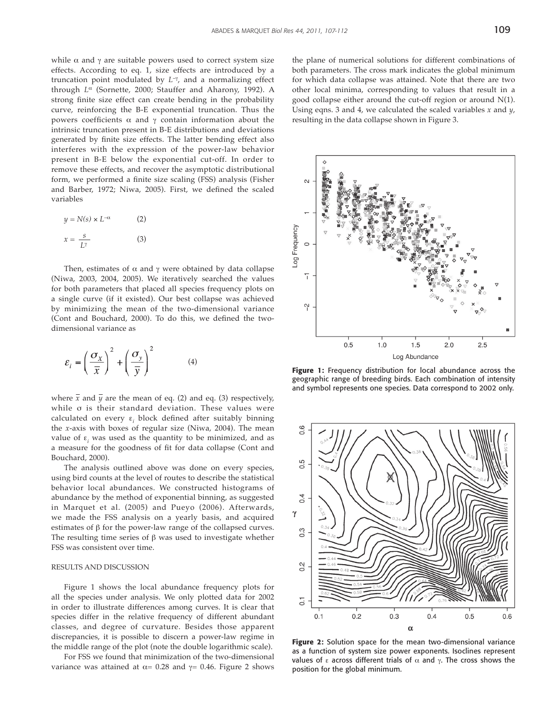while  $\alpha$  and  $\gamma$  are suitable powers used to correct system size effects. According to eq. 1, size effects are introduced by a truncation point modulated by *L*–<sup>γ</sup> , and a normalizing effect through *L*α (Sornette, 2000; Stauffer and Aharony, 1992). A strong finite size effect can create bending in the probability curve, reinforcing the B-E exponential truncation. Thus the powers coefficients  $\alpha$  and γ contain information about the intrinsic truncation present in B-E distributions and deviations generated by finite size effects. The latter bending effect also interferes with the expression of the power-law behavior present in B-E below the exponential cut-off. In order to remove these effects, and recover the asymptotic distributional form, we performed a finite size scaling (FSS) analysis (Fisher and Barber, 1972; Niwa, 2005). First, we defined the scaled variables

$$
y = N(s) \times L^{-\alpha} \tag{2}
$$

$$
x = \frac{s}{L^{\gamma}} \tag{3}
$$

Then, estimates of  $\alpha$  and  $\gamma$  were obtained by data collapse (Niwa, 2003, 2004, 2005). We iteratively searched the values for both parameters that placed all species frequency plots on a single curve (if it existed). Our best collapse was achieved by minimizing the mean of the two-dimensional variance (Cont and Bouchard, 2000). To do this, we defined the twodimensional variance as

$$
\varepsilon_{i} = \left(\frac{\sigma_{X}}{\overline{x}}\right)^{2} + \left(\frac{\sigma_{y}}{\overline{y}}\right)^{2} \tag{4}
$$

where  $\bar{x}$  and  $\bar{y}$  are the mean of eq. (2) and eq. (3) respectively, while σ is their standard deviation. These values were calculated on every  $\varepsilon$ <sub>*i*</sub> block defined after suitably binning the *x*-axis with boxes of regular size (Niwa, 2004). The mean value of ε*<sup>i</sup>* was used as the quantity to be minimized, and as a measure for the goodness of fit for data collapse (Cont and Bouchard, 2000).

The analysis outlined above was done on every species, using bird counts at the level of routes to describe the statistical behavior local abundances. We constructed histograms of abundance by the method of exponential binning, as suggested in Marquet et al. (2005) and Pueyo (2006). Afterwards, we made the FSS analysis on a yearly basis, and acquired estimates of  $β$  for the power-law range of the collapsed curves. The resulting time series of  $\beta$  was used to investigate whether FSS was consistent over time.

## RESULTS AND DISCUSSION

Figure 1 shows the local abundance frequency plots for all the species under analysis. We only plotted data for 2002 in order to illustrate differences among curves. It is clear that species differ in the relative frequency of different abundant classes, and degree of curvature. Besides those apparent discrepancies, it is possible to discern a power-law regime in the middle range of the plot (note the double logarithmic scale).

For FSS we found that minimization of the two-dimensional variance was attained at  $α = 0.28$  and  $γ = 0.46$ . Figure 2 shows the plane of numerical solutions for different combinations of both parameters. The cross mark indicates the global minimum for which data collapse was attained. Note that there are two other local minima, corresponding to values that result in a good collapse either around the cut-off region or around N(1). Using eqns. 3 and 4, we calculated the scaled variables *x* and *y*, resulting in the data collapse shown in Figure 3.



**Figure 1:** Frequency distribution for local abundance across the geographic range of breeding birds. Each combination of intensity and symbol represents one species. Data correspond to 2002 only.



**Figure 2:** Solution space for the mean two-dimensional variance as a function of system size power exponents. Isoclines represent values of ε across different trials of  $\alpha$  and  $\gamma$ . The cross shows the position for the global minimum.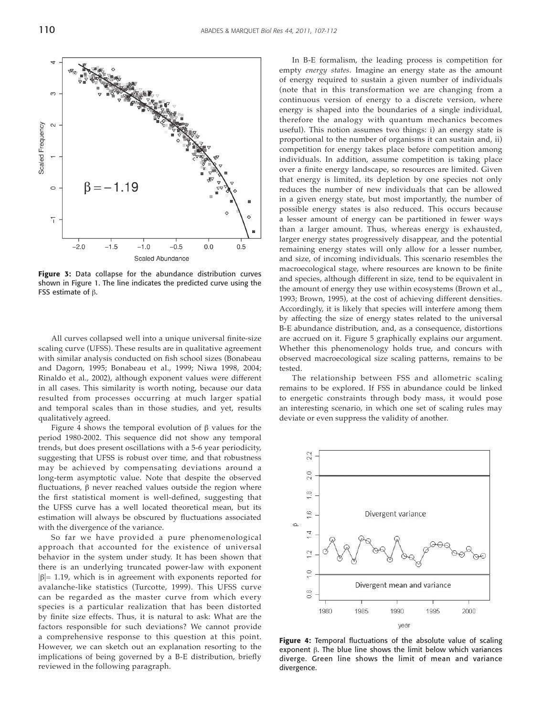

**Figure 3:** Data collapse for the abundance distribution curves shown in Figure 1. The line indicates the predicted curve using the FSS estimate of  $β$ .

All curves collapsed well into a unique universal finite-size scaling curve (UFSS). These results are in qualitative agreement with similar analysis conducted on fish school sizes (Bonabeau and Dagorn, 1995; Bonabeau et al., 1999; Niwa 1998, 2004; Rinaldo et al., 2002), although exponent values were different in all cases. This similarity is worth noting, because our data resulted from processes occurring at much larger spatial and temporal scales than in those studies, and yet, results qualitatively agreed.

Figure 4 shows the temporal evolution of β values for the period 1980-2002. This sequence did not show any temporal trends, but does present oscillations with a 5-6 year periodicity, suggesting that UFSS is robust over time, and that robustness may be achieved by compensating deviations around a long-term asymptotic value. Note that despite the observed fluctuations,  $β$  never reached values outside the region where the first statistical moment is well-defined, suggesting that the UFSS curve has a well located theoretical mean, but its estimation will always be obscured by fluctuations associated with the divergence of the variance.

So far we have provided a pure phenomenological approach that accounted for the existence of universal behavior in the system under study. It has been shown that there is an underlying truncated power-law with exponent  $|\beta|=1.19$ , which is in agreement with exponents reported for avalanche-like statistics (Turcotte, 1999). This UFSS curve can be regarded as the master curve from which every species is a particular realization that has been distorted by finite size effects. Thus, it is natural to ask: What are the factors responsible for such deviations? We cannot provide a comprehensive response to this question at this point. However, we can sketch out an explanation resorting to the implications of being governed by a B-E distribution, briefly reviewed in the following paragraph.

In B-E formalism, the leading process is competition for empty *energy states*. Imagine an energy state as the amount of energy required to sustain a given number of individuals (note that in this transformation we are changing from a continuous version of energy to a discrete version, where energy is shaped into the boundaries of a single individual, therefore the analogy with quantum mechanics becomes useful). This notion assumes two things: i) an energy state is proportional to the number of organisms it can sustain and, ii) competition for energy takes place before competition among individuals. In addition, assume competition is taking place over a finite energy landscape, so resources are limited. Given that energy is limited, its depletion by one species not only reduces the number of new individuals that can be allowed in a given energy state, but most importantly, the number of possible energy states is also reduced. This occurs because a lesser amount of energy can be partitioned in fewer ways than a larger amount. Thus, whereas energy is exhausted, larger energy states progressively disappear, and the potential remaining energy states will only allow for a lesser number, and size, of incoming individuals. This scenario resembles the macroecological stage, where resources are known to be finite and species, although different in size, tend to be equivalent in the amount of energy they use within ecosystems (Brown et al., 1993; Brown, 1995), at the cost of achieving different densities. Accordingly, it is likely that species will interfere among them by affecting the size of energy states related to the universal B-E abundance distribution, and, as a consequence, distortions are accrued on it. Figure 5 graphically explains our argument. Whether this phenomenology holds true, and concurs with observed macroecological size scaling patterns, remains to be tested.

The relationship between FSS and allometric scaling remains to be explored. If FSS in abundance could be linked to energetic constraints through body mass, it would pose an interesting scenario, in which one set of scaling rules may deviate or even suppress the validity of another.



Figure 4: Temporal fluctuations of the absolute value of scaling exponent β. The blue line shows the limit below which variances diverge. Green line shows the limit of mean and variance divergence.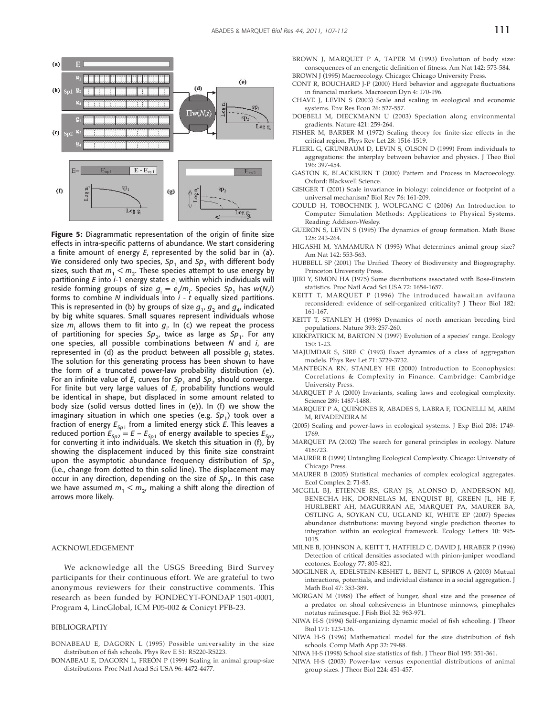

Figure 5: Diagrammatic representation of the origin of finite size effects in intra-specific patterns of abundance. We start considering a finite amount of energy *E*, represented by the solid bar in (a). We considered only two species,  $Sp_1$  and  $Sp_2$  with different body sizes, such that  $m_1 < m_2$ . These species attempt to use energy by partitioning *E* into *i*-1 energy states *e*<sup>i</sup> within which individuals will reside forming groups of size  $g_i = e_i/m_i$ . Species  $Sp_1$  has  $w(N_i)$ forms to combine *N* individuals into *i* - *t* equally sized partitions. This is represented in (b) by groups of size  $g_1$ ,  $g_2$  and  $g_4$ , indicated by big white squares. Small squares represent individuals whose size  $m_{\text{i}}$  allows them to fit into  $g_{\text{i}}$ . In (c) we repeat the process of partitioning for species  $Sp_{2}$ , twice as large as  $Sp_{1}$ . For any one species, all possible combinations between *N* and *i*, are represented in (d) as the product between all possible  $g_{\mathsf{i}}$  states. The solution for this generating process has been shown to have the form of a truncated power-law probability distribution (e). For an infinite value of  $E$ , curves for  $Sp_1$  and  $Sp_2$  should converge. For finite but very large values of *E*, probability functions would be identical in shape, but displaced in some amount related to body size (solid versus dotted lines in (e)). In (f) we show the imaginary situation in which one species (e.g. Sp<sub>1</sub>) took over a fraction of energy  $E_{Sp1}$  from a limited energy stick *E*. This leaves a reduced portion  $E_{Sp2} = E - E_{Sp1}$  of energy available to species  $E_{Sp2}$ for converting it into individuals. We sketch this situation in (f), by showing the displacement induced by this finite size constraint upon the asymptotic abundance frequency distribution of Sp<sub>2</sub> (i.e., change from dotted to thin solid line). The displacement may occur in any direction, depending on the size of  $Sp<sub>2</sub>$ . In this case we have assumed  $m_1 < m_2$ , making a shift along the direction of arrows more likely.

#### ACKNOWLEDGEMENT

We acknowledge all the USGS Breeding Bird Survey participants for their continuous effort. We are grateful to two anonymous reviewers for their constructive comments. This research as been funded by FONDECYT-FONDAP 1501-0001, Program 4, LincGlobal, ICM P05-002 & Conicyt PFB-23.

#### BIBLIOGRAPHY

- BONABEAU E, DAGORN L (1995) Possible universality in the size distribution of fish schools. Phys Rev E 51: R5220-R5223.
- BONABEAU E, DAGORN L, FREÓN P (1999) Scaling in animal group-size dis tributions. Proc Natl Acad Sci USA 96: 4472-4477.
- BROWN J, MARQUET P A, TAPER M (1993) Evolution of body size: consequences of an energetic definition of fitness. Am Nat 142: 573-584. BROWN J (1995) Macroecology. Chicago: Chicago University Press.
- CONT R, BOUCHARD J-P (2000) Herd behavior and aggregate fluctuations in financial markets. Macroecon Dyn 4: 170-196.
- CHAVE J, LEVIN S (2003) Scale and scaling in ecological and economic systems. Env Res Econ 26: 527-557.
- DOEBELI M, DIECKMANN U (2003) Speciation along environmental gradients. Nature 421: 259-264.
- FISHER M, BARBER M (1972) Scaling theory for finite-size effects in the critical region. Phys Rev Let 28: 1516-1519.
- FLIERL G, GRUNBAUM D, LEVIN S, OLSON D (1999) From individuals to aggregations: the interplay between behavior and physics. J Theo Biol 196: 397-454.
- GASTON K, BLACKBURN T (2000) Pattern and Process in Macroecology. Oxford: Blackwell Science.
- GISIGER T (2001) Scale invariance in biology: coincidence or footprint of a universal mechanism? Biol Rev 76: 161-209.
- GOULD H, TOBOCHNIK J, WOLFGANG C (2006) An Introduction to Computer Simulation Methods: Applications to Physical Systems. Reading: Addison-Wesley.
- GUERON S, LEVIN S (1995) The dynamics of group formation. Math Biosc 128: 243-264.
- HIGASHI M, YAMAMURA N (1993) What determines animal group size? Am Nat 142: 553-563.
- HUBBELL SP (2001) The Unified Theory of Biodiversity and Biogeography. Princeton University Press.
- IJIRI Y, SIMON HA (1975) Some distributions associated with Bose-Einstein statistics. Proc Natl Acad Sci USA 72: 1654-1657.
- KEITT T, MARQUET P (1996) The introduced hawaiian avifauna reconsidered: evidence of self-organized criticality? J Theor Biol 182: 161-167.
- KEITT T, STANLEY H (1998) Dynamics of north american breeding bird populations. Nature 393: 257-260.
- KIRKPATRICK M, BARTON N (1997) Evolution of a species' range. Ecology 150: 1-23.
- MAJUMDAR S, SIRE C (1993) Exact dynamics of a class of aggregation models. Phys Rev Let 71: 3729-3732.
- MANTEGNA RN, STANLEY HE (2000) Introduction to Econophysics: Correlations & Complexity in Finance. Cambridge: Cambridge University Press.
- MARQUET P A (2000) Invariants, scaling laws and ecological complexity. Science 289: 1487-1488.
- MARQUET P A, QUIÑONES R, ABADES S, LABRA F, TOGNELLI M, ARIM M, RIVADENEIRA M
- (2005) Scaling and power-laws in ecological systems. J Exp Biol 208: 1749- 1769.
- MARQUET PA (2002) The search for general principles in ecology. Nature 418:723.
- MAURER B (1999) Untangling Ecological Complexity. Chicago: University of Chicago Press.
- MAURER B (2005) Statistical mechanics of complex ecological aggregates. Ecol Complex 2: 71-85.
- MCGILL BJ, ETIENNE RS, GRAY JS, ALONSO D, ANDERSON MJ, BENECHA HK, DORNELAS M, ENQUIST BJ, GREEN JL, HE F, HURLBERT AH, MAGURRAN AE, MARQUET PA, MAURER BA, OSTLING A, SOYKAN CU, UGLAND KI, WHITE EP (2007) Species abundance distributions: moving beyond single prediction theories to integration within an ecological framework. Ecology Letters 10: 995- 1015.
- MILNE B, JOHNSON A, KEITT T, HATFIELD C, DAVID J, HRABER P (1996) Detection of critical densities associated with pinion-juniper woodland ecotones. Ecology 77: 805-821.
- MOGILNER A, EDELSTEIN-KESHET L, BENT L, SPIROS A (2003) Mutual interactions, potentials, and individual distance in a social aggregation. J Math Biol 47: 353-389.
- MORGAN M (1988) The effect of hunger, shoal size and the presence of a predator on shoal cohesiveness in bluntnose minnows, pimephales notatus rafinesque. J Fish Biol 32: 963-971.
- NIWA H-S (1994) Self-organizing dynamic model of fish schooling. J Theor Biol 171: 123-136.
- NIWA H-S (1996) Mathematical model for the size distribution of fish schools. Comp Math App 32: 79-88.
- NIWA H-S (1998) School size statistics of fish. J Theor Biol 195: 351-361.
- NIWA H-S (2003) Power-law versus exponential distributions of animal group sizes. J Theor Biol 224: 451-457.